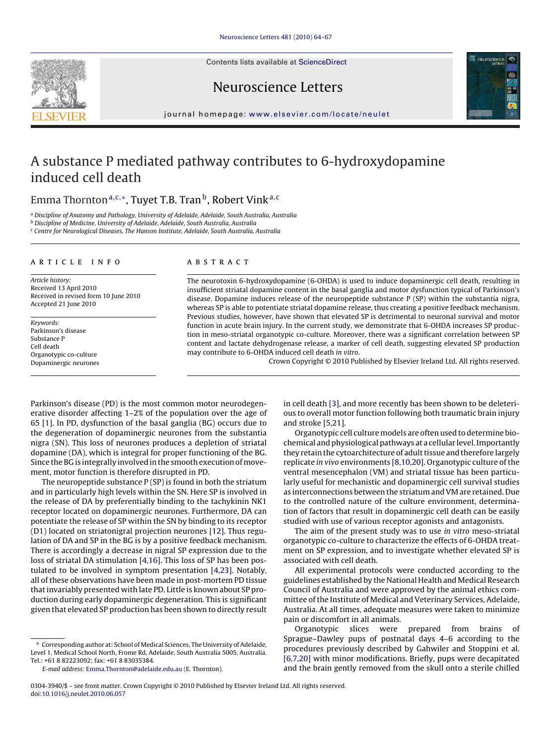Contents lists available at [ScienceDirect](http://www.sciencedirect.com/science/journal/03043940)







journal homepage: [www.elsevier.com/locate/neulet](http://www.elsevier.com/locate/neulet)

# A substance P mediated pathway contributes to 6-hydroxydopamine induced cell death

# Emma Thornton<sup>a,c,∗</sup>, Tuyet T.B. Tran<sup>b</sup>, Robert Vink<sup>a,c</sup>

<sup>a</sup> Discipline of Anatomy and Pathology, University of Adelaide, Adelaide, South Australia, Australia

<sup>b</sup> Discipline of Medicine, University of Adelaide, Adelaide, South Australia, Australia

 $\cdot$  Centre for Neurological Diseases. The Hanson Institute, Adelaide, South Australia, Australia

## article info

Article history: Received 13 April 2010 Received in revised form 10 June 2010 Accepted 21 June 2010

Keywords: Parkinson's disease Substance P Cell death Organotypic co-culture Dopaminergic neurones

# ABSTRACT

The neurotoxin 6-hydroxydopamine (6-OHDA) is used to induce dopaminergic cell death, resulting in insufficient striatal dopamine content in the basal ganglia and motor dysfunction typical of Parkinson's disease. Dopamine induces release of the neuropeptide substance P (SP) within the substantia nigra, whereas SP is able to potentiate striatal dopamine release, thus creating a positive feedback mechanism. Previous studies, however, have shown that elevated SP is detrimental to neuronal survival and motor function in acute brain injury. In the current study, we demonstrate that 6-OHDA increases SP production in meso-striatal organotypic co-culture. Moreover, there was a significant correlation between SP content and lactate dehydrogenase release, a marker of cell death, suggesting elevated SP production may contribute to 6-OHDA induced cell death in vitro.

Crown Copyright © 2010 Published by Elsevier Ireland Ltd. All rights reserved.

Parkinson's disease (PD) is the most common motor neurodegenerative disorder affecting 1–2% of the population over the age of 65 [\[1\]. I](#page-3-0)n PD, dysfunction of the basal ganglia (BG) occurs due to the degeneration of dopaminergic neurones from the substantia nigra (SN). This loss of neurones produces a depletion of striatal dopamine (DA), which is integral for proper functioning of the BG. Since the BG is integrally involved in the smooth execution of movement, motor function is therefore disrupted in PD.

The neuropeptide substance  $P(SP)$  is found in both the striatum and in particularly high levels within the SN. Here SP is involved in the release of DA by preferentially binding to the tachykinin NK1 receptor located on dopaminergic neurones. Furthermore, DA can potentiate the release of SP within the SN by binding to its receptor (D1) located on striatonigral projection neurones [\[12\]. T](#page-3-0)hus regulation of DA and SP in the BG is by a positive feedback mechanism. There is accordingly a decrease in nigral SP expression due to the loss of striatal DA stimulation [\[4,16\]. T](#page-3-0)his loss of SP has been postulated to be involved in symptom presentation [\[4,23\].](#page-3-0) Notably, all of these observations have been made in post-mortem PD tissue that invariably presented with late PD. Little is known about SP production during early dopaminergic degeneration. This is significant given that elevated SP production has been shown to directly result

∗ Corresponding author at: School of Medical Sciences, The University of Adelaide, Level 1, Medical School North, Frome Rd, Adelaide, South Australia 5005, Australia. Tel.: +61 8 82223092; fax: +61 8 83035384.

E-mail address: [Emma.Thornton@adelaide.edu.au](mailto:Emma.Thornton@adelaide.edu.au) (E. Thornton).

in cell death [\[3\], a](#page-3-0)nd more recently has been shown to be deleterious to overall motor function following both traumatic brain injury and stroke [\[5,21\].](#page-3-0)

Organotypic cell culture models are often used to determine biochemical and physiological pathways at a cellular level. Importantly they retain the cytoarchitecture of adult tissue and therefore largely replicate in vivo environments [\[8,10,20\]. O](#page-3-0)rganotypic culture of the ventral mesencephalon (VM) and striatal tissue has been particularly useful for mechanistic and dopaminergic cell survival studies as interconnections between the striatum and VM are retained. Due to the controlled nature of the culture environment, determination of factors that result in dopaminergic cell death can be easily studied with use of various receptor agonists and antagonists.

The aim of the present study was to use in vitro meso-striatal organotypic co-culture to characterize the effects of 6-OHDA treatment on SP expression, and to investigate whether elevated SP is associated with cell death.

All experimental protocols were conducted according to the guidelines established by the National Health and Medical Research Council of Australia and were approved by the animal ethics committee of the Institute of Medical and Veterinary Services, Adelaide, Australia. At all times, adequate measures were taken to minimize pain or discomfort in all animals.

Organotypic slices were prepared from brains of Sprague–Dawley pups of postnatal days 4–6 according to the procedures previously described by Gahwiler and Stoppini et al. [\[6,7,20\]](#page-3-0) with minor modifications. Briefly, pups were decapitated and the brain gently removed from the skull onto a sterile chilled

0304-3940/\$ – see front matter. Crown Copyright © 2010 Published by Elsevier Ireland Ltd. All rights reserved. doi:[10.1016/j.neulet.2010.06.057](dx.doi.org/10.1016/j.neulet.2010.06.057)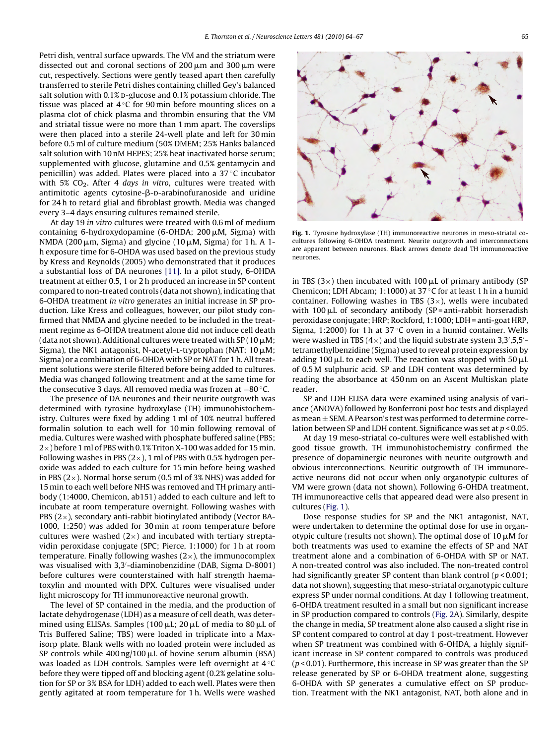Petri dish, ventral surface upwards. The VM and the striatum were dissected out and coronal sections of 200  $\upmu$ m and 300  $\upmu$ m were cut, respectively. Sections were gently teased apart then carefully transferred to sterile Petri dishes containing chilled Gey's balanced salt solution with 0.1% p-glucose and 0.1% potassium chloride. The tissue was placed at 4 ◦C for 90 min before mounting slices on a plasma clot of chick plasma and thrombin ensuring that the VM and striatal tissue were no more than 1 mm apart. The coverslips were then placed into a sterile 24-well plate and left for 30 min before 0.5 ml of culture medium (50% DMEM; 25% Hanks balanced salt solution with 10 nM HEPES; 25% heat inactivated horse serum; supplemented with glucose, glutamine and 0.5% gentamycin and penicillin) was added. Plates were placed into a 37 ◦C incubator with 5%  $CO<sub>2</sub>$ . After 4 days in vitro, cultures were treated with antimitotic agents cytosine- $\beta$ -D-arabinofuranoside and uridine for 24 h to retard glial and fibroblast growth. Media was changed every 3–4 days ensuring cultures remained sterile.

At day 19 in vitro cultures were treated with 0.6 ml of medium containing 6-hydroxydopamine (6-OHDA; 200 $\mu$ M, Sigma) with NMDA (200  $\mu$ m, Sigma) and glycine (10  $\mu$ M, Sigma) for 1 h. A 1h exposure time for 6-OHDA was used based on the previous study by Kress and Reynolds (2005) who demonstrated that it produces a substantial loss of DA neurones [\[11\].](#page-3-0) In a pilot study, 6-OHDA treatment at either 0.5, 1 or 2 h produced an increase in SP content compared to non-treated controls (data not shown), indicating that 6-OHDA treatment in vitro generates an initial increase in SP production. Like Kress and colleagues, however, our pilot study confirmed that NMDA and glycine needed to be included in the treatment regime as 6-OHDA treatment alone did not induce cell death (data not shown). Additional cultures were treated with SP (10  $\mu$ M; Sigma), the NK1 antagonist, N-acetyl-L-tryptophan (NAT;  $10 \mu$ M; Sigma) or a combination of 6-OHDA with SP or NAT for 1 h. All treatment solutions were sterile filtered before being added to cultures. Media was changed following treatment and at the same time for the consecutive 3 days. All removed media was frozen at −80 ◦C.

The presence of DA neurones and their neurite outgrowth was determined with tyrosine hydroxylase (TH) immunohistochemistry. Cultures were fixed by adding 1 ml of 10% neutral buffered formalin solution to each well for 10 min following removal of media. Cultures were washed with phosphate buffered saline (PBS; 2×) before 1 ml of PBS with 0.1% Triton X-100 was added for 15 min. Following washes in PBS  $(2\times)$ , 1 ml of PBS with 0.5% hydrogen peroxide was added to each culture for 15 min before being washed in PBS ( $2\times$ ). Normal horse serum (0.5 ml of 3% NHS) was added for 15 min to each well before NHS was removed and TH primary antibody (1:4000, Chemicon, ab151) added to each culture and left to incubate at room temperature overnight. Following washes with PBS (2×), secondary anti-rabbit biotinylated antibody (Vector BA-1000, 1:250) was added for 30 min at room temperature before cultures were washed  $(2\times)$  and incubated with tertiary streptavidin peroxidase conjugate (SPC; Pierce, 1:1000) for 1 h at room temperature. Finally following washes  $(2\times)$ , the immunocomplex was visualised with 3,3 -diaminobenzidine (DAB, Sigma D-8001) before cultures were counterstained with half strength haematoxylin and mounted with DPX. Cultures were visualised under light microscopy for TH immunoreactive neuronal growth.

The level of SP contained in the media, and the production of lactate dehydrogenase (LDH) as a measure of cell death, was determined using ELISAs. Samples (100  $\mu$ L; 20  $\mu$ L of media to 80  $\mu$ L of Tris Buffered Saline; TBS) were loaded in triplicate into a Maxisorp plate. Blank wells with no loaded protein were included as SP controls while  $400\,\mathrm{ng}/100\,\mathrm{\mu L}$  of bovine serum albumin (BSA) was loaded as LDH controls. Samples were left overnight at 4 ◦C before they were tipped off and blocking agent (0.2% gelatine solution for SP or 3% BSA for LDH) added to each well. Plates were then gently agitated at room temperature for 1 h. Wells were washed



**Fig. 1.** Tyrosine hydroxylase (TH) immunoreactive neurones in meso-striatal cocultures following 6-OHDA treatment. Neurite outgrowth and interconnections are apparent between neurones. Black arrows denote dead TH immunoreactive neurones.

in TBS (3 $\times$ ) then incubated with 100  $\mu$ L of primary antibody (SP Chemicon; LDH Abcam; 1:1000) at 37 ◦C for at least 1 h in a humid container. Following washes in TBS  $(3\times)$ , wells were incubated with 100  $\mu$ L of secondary antibody (SP = anti-rabbit horseradish peroxidase conjugate; HRP; Rockford, 1:1000; LDH = anti-goat HRP, Sigma, 1:2000) for 1 h at  $37^{\circ}$ C oven in a humid container. Wells were washed in TBS  $(4\times)$  and the liquid substrate system 3,3',5,5'tetramethylbenzidine (Sigma) used to reveal protein expression by adding 100  $\mu$ L to each well. The reaction was stopped with 50  $\mu$ I of 0.5 M sulphuric acid. SP and LDH content was determined by reading the absorbance at 450 nm on an Ascent Multiskan plate reader.

SP and LDH ELISA data were examined using analysis of variance (ANOVA) followed by Bonferroni post hoc tests and displayed as mean  $\pm$  SEM. A Pearson's test was performed to determine correlation between SP and LDH content. Significance was set at  $p < 0.05$ .

At day 19 meso-striatal co-cultures were well established with good tissue growth. TH immunohistochemistry confirmed the presence of dopaminergic neurones with neurite outgrowth and obvious interconnections. Neuritic outgrowth of TH immunoreactive neurons did not occur when only organotypic cultures of VM were grown (data not shown). Following 6-OHDA treatment, TH immunoreactive cells that appeared dead were also present in cultures (Fig. 1).

Dose response studies for SP and the NK1 antagonist, NAT, were undertaken to determine the optimal dose for use in organotypic culture (results not shown). The optimal dose of 10  $\mu$ M for both treatments was used to examine the effects of SP and NAT treatment alone and a combination of 6-OHDA with SP or NAT. A non-treated control was also included. The non-treated control had significantly greater SP content than blank control  $(p < 0.001$ ; data not shown), suggesting that meso-striatal organotypic culture express SP under normal conditions. At day 1 following treatment, 6-OHDA treatment resulted in a small but non significant increase in SP production compared to controls ([Fig. 2A](#page-2-0)). Similarly, despite the change in media, SP treatment alone also caused a slight rise in SP content compared to control at day 1 post-treatment. However when SP treatment was combined with 6-OHDA, a highly significant increase in SP content compared to controls was produced  $(p < 0.01)$ . Furthermore, this increase in SP was greater than the SP release generated by SP or 6-OHDA treatment alone, suggesting 6-OHDA with SP generates a cumulative effect on SP production. Treatment with the NK1 antagonist, NAT, both alone and in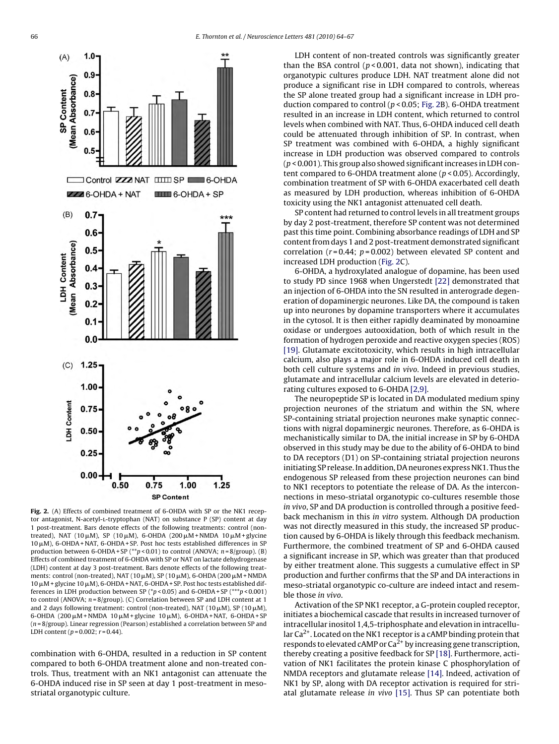<span id="page-2-0"></span>

**Fig. 2.** (A) Effects of combined treatment of 6-OHDA with SP or the NK1 receptor antagonist, N-acetyl-L-tryptophan (NAT) on substance P (SP) content at day 1 post-treatment. Bars denote effects of the following treatments: control (nontreated), NAT (10μM), SP (10μM), 6-OHDA (200μM+NMDA 10μM+glycine 10 μM), 6-OHDA + NAT, 6-OHDA + SP. Post hoc tests established differences in SP production between 6-OHDA + SP (\*\*p < 0.01) to control (ANOVA;  $n = 8$ /group). (B) Effects of combined treatment of 6-OHDA with SP or NAT on lactate dehydrogenase (LDH) content at day 3 post-treatment. Bars denote effects of the following treatments: control (non-treated), NAT (10  $\mu$ M), SP (10  $\mu$ M), 6-OHDA (200  $\mu$ M + NMDA  $10 \mu$ M + glycine 10  $\mu$ M), 6-OHDA + NAT, 6-OHDA + SP. Post hoc tests established differences in LDH production between SP ( $p$  < 0.05) and 6-OHDA + SP ( $^{***}p$  < 0.001) to control (ANOVA;  $n = 8$ /group). (C) Correlation between SP and LDH content at 1 and 2 days following treatment: control (non-treated), NAT (10  $\mu$ M), SP (10  $\mu$ M), 6-OHDA (200  $\mu$ M + NMDA 10  $\mu$ M + glycine 10  $\mu$ M), 6-OHDA + NAT, 6-OHDA + SP  $(n = 8/\text{group})$ . Linear regression (Pearson) established a correlation between SP and LDH content ( $p = 0.002$ ;  $r = 0.44$ ).

combination with 6-OHDA, resulted in a reduction in SP content compared to both 6-OHDA treatment alone and non-treated controls. Thus, treatment with an NK1 antagonist can attenuate the 6-OHDA induced rise in SP seen at day 1 post-treatment in mesostriatal organotypic culture.

LDH content of non-treated controls was significantly greater than the BSA control ( $p$ <0.001, data not shown), indicating that organotypic cultures produce LDH. NAT treatment alone did not produce a significant rise in LDH compared to controls, whereas the SP alone treated group had a significant increase in LDH production compared to control ( $p$  < 0.05; Fig. 2B). 6-OHDA treatment resulted in an increase in LDH content, which returned to control levels when combined with NAT. Thus, 6-OHDA induced cell death could be attenuated through inhibition of SP. In contrast, when SP treatment was combined with 6-OHDA, a highly significant increase in LDH production was observed compared to controls  $(p < 0.001)$ . This group also showed significant increases in LDH content compared to 6-OHDA treatment alone (p < 0.05). Accordingly, combination treatment of SP with 6-OHDA exacerbated cell death as measured by LDH production, whereas inhibition of 6-OHDA toxicity using the NK1 antagonist attenuated cell death.

SP content had returned to control levels in all treatment groups by day 2 post-treatment, therefore SP content was not determined past this time point. Combining absorbance readings of LDH and SP content from days 1 and 2 post-treatment demonstrated significant correlation ( $r = 0.44$ ;  $p = 0.002$ ) between elevated SP content and increased LDH production (Fig. 2C).

6-OHDA, a hydroxylated analogue of dopamine, has been used to study PD since 1968 when Ungerstedt [\[22\]](#page-3-0) demonstrated that an injection of 6-OHDA into the SN resulted in anterograde degeneration of dopaminergic neurones. Like DA, the compound is taken up into neurones by dopamine transporters where it accumulates in the cytosol. It is then either rapidly deaminated by monoamine oxidase or undergoes autooxidation, both of which result in the formation of hydrogen peroxide and reactive oxygen species (ROS) [\[19\]. G](#page-3-0)lutamate excitotoxicity, which results in high intracellular calcium, also plays a major role in 6-OHDA induced cell death in both cell culture systems and in vivo. Indeed in previous studies, glutamate and intracellular calcium levels are elevated in deteriorating cultures exposed to 6-OHDA [\[2,9\].](#page-3-0)

The neuropeptide SP is located in DA modulated medium spiny projection neurones of the striatum and within the SN, where SP-containing striatal projection neurones make synaptic connections with nigral dopaminergic neurones. Therefore, as 6-OHDA is mechanistically similar to DA, the initial increase in SP by 6-OHDA observed in this study may be due to the ability of 6-OHDA to bind to DA receptors (D1) on SP-containing striatal projection neurons initiating SP release. In addition, DA neurones express NK1. Thus the endogenous SP released from these projection neurones can bind to NK1 receptors to potentiate the release of DA. As the interconnections in meso-striatal organotypic co-cultures resemble those in vivo, SP and DA production is controlled through a positive feedback mechanism in this in vitro system. Although DA production was not directly measured in this study, the increased SP production caused by 6-OHDA is likely through this feedback mechanism. Furthermore, the combined treatment of SP and 6-OHDA caused a significant increase in SP, which was greater than that produced by either treatment alone. This suggests a cumulative effect in SP production and further confirms that the SP and DA interactions in meso-striatal organotypic co-culture are indeed intact and resemble those in vivo.

Activation of the SP NK1 receptor, a G-protein coupled receptor, initiates a biochemical cascade that results in increased turnover of intracellular inositol 1,4,5-triphosphate and elevation in intracellular  $Ca^{2+}$ . Located on the NK1 receptor is a cAMP binding protein that responds to elevated cAMP or  $Ca^{2+}$  by increasing gene transcription, thereby creating a positive feedback for SP [\[18\]. F](#page-3-0)urthermore, activation of NK1 facilitates the protein kinase C phosphorylation of NMDA receptors and glutamate release [\[14\]. I](#page-3-0)ndeed, activation of NK1 by SP, along with DA receptor activation is required for striatal glutamate release in vivo [\[15\].](#page-3-0) Thus SP can potentiate both